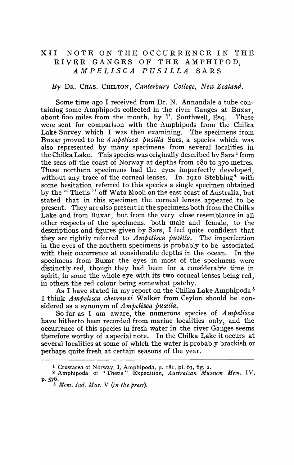## XII NOTE ON THE OCCURRENCE IN THE RIVER GANGES OF THE AMPHIPOD. *AMPELISCA PUSILLA* SARS

## By DR. CHAS. CHILTON, *Canterbury College, New Zealand.*

Some time ago I received from Dr. N. Annandale a tube containing some Amphipods collected in the river Ganges at Buxar, about 600 miles from the mouth, by T. Southwell, Esq. These were sent for comparison with the Amphipods from the Chilka Lake Survey which I was then examining. The specimens from Buxar proved to be *A I1tpelisca pusilla* Sars, a species which was also represented by many specimens from several localities in the Chilka Lake. This species was originally described by Sars<sup>1</sup> from the seas off the coast of Norway at depths from 180 to 370 metres. These northern specimens had the eyes imperfectly developed, without any trace of the corneal lenses. In 1910 Stebbing<sup>3</sup> with some hesitation referred to this species a single specimen obtained by the "Thetis" off Wata Mooli on the east coast of Australia, but stated that in this specimen the corneal lenses appeared to be present. They are also present in the specimens both from the Chilka Lake and from Buxar, but from the very close resemblance in all other respects of the specimens, both male and female, to the descriptions and figures given by Sars, I feel quite confident that they are rightly referred to *Ampelisca pusilla.* The imperfection in the eyes of the northern specimens is probably to be associated with their occurrence at considerable depths in the ocean. In the specimens from Buxar the eyes in most of the specimens were distinctly red, though they had been for a considerable time in spirit, in some the whole eye with its two corneal lenses being red, in others the red colour being somewhat patchy.

As I have stated in my report on the Chilka Lake Amphipoda<sup>8</sup> I think *Ampelisca chevreuxi* Walker from Ceylon should be considered as a synonym of *A mpelisca pusilla.* 

So far as I am aware, the numerous species of *A mpelisca*  have hitherto been recorded from marine localities only, and the occurrence of this species in fresh w\_ater in the river Ganges seems therefore worthy of a special note. In the Chilka Lake it occurs at several localities at some of which the water is probably brackish or perhaps quite fresh at certain seasons of the year.

<sup>&</sup>lt;sup>1</sup> Crustacea of Norway, I, Amphipoda, p. 181, pl. 63, fig. 2.

<sup>2</sup> Amphipoda of "Thetis" Expedition, *Austral£an Museum Mem.* I V, P·576.

<sup>8</sup> *Mem. Ind. Mus.* V *(in the press).*